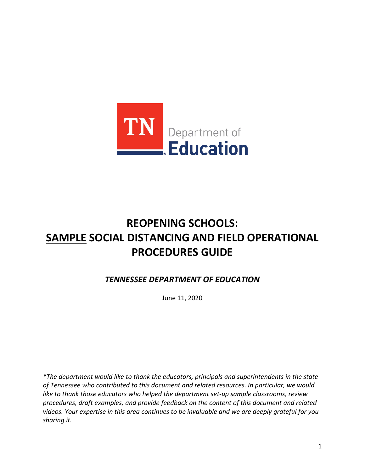

# **REOPENING SCHOOLS: SAMPLE SOCIAL DISTANCING AND FIELD OPERATIONAL PROCEDURES GUIDE**

*TENNESSEE DEPARTMENT OF EDUCATION* 

June 11, 2020

*\*The department would like to thank the educators, principals and superintendents in the state of Tennessee who contributed to this document and related resources. In particular, we would like to thank those educators who helped the department set-up sample classrooms, review procedures, draft examples, and provide feedback on the content of this document and related videos. Your expertise in this area continues to be invaluable and we are deeply grateful for you sharing it.*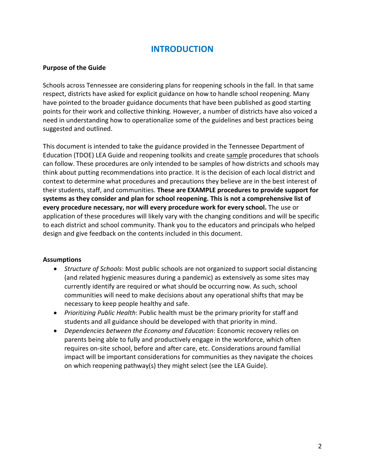# **INTRODUCTION**

#### **Purpose of the Guide**

 Schools across Tennessee are considering plans for reopening schools in the fall. In that same respect, districts have asked for explicit guidance on how to handle school reopening. Many have pointed to the broader guidance documents that have been published as good starting points for their work and collective thinking. However, a number of districts have also voiced a need in understanding how to operationalize some of the guidelines and best practices being suggested and outlined.

 This document is intended to take the guidance provided in the Tennessee Department of context to determine what procedures and precautions they believe are in the best interest of their students, staff, and communities. **These are EXAMPLE procedures to provide support for systems as they consider and plan for school reopening. This is not a comprehensive list of**  Education (TDOE) LEA Guide and reopening toolkits and create sample procedures that schools can follow. These procedures are only intended to be samples of how districts and schools may think about putting recommendations into practice. It is the decision of each local district and **every procedure necessary, nor will every procedure work for every school.** The use or application of these procedures will likely vary with the changing conditions and will be specific to each district and school community. Thank you to the educators and principals who helped design and give feedback on the contents included in this document.

#### **Assumptions**

- • *Structure of Schools*: Most public schools are not organized to support social distancing currently identify are required or what should be occurring now. As such, school communities will need to make decisions about any operational shifts that may be (and related hygienic measures during a pandemic) as extensively as some sites may necessary to keep people healthy and safe.
- • *Prioritizing Public Health*: Public health must be the primary priority for staff and students and all guidance should be developed with that priority in mind.
- impact will be important considerations for communities as they navigate the choices • *Dependencies between the Economy and Education*: Economic recovery relies on parents being able to fully and productively engage in the workforce, which often requires on-site school, before and after care, etc. Considerations around familial on which reopening pathway(s) they might select (see the LEA Guide).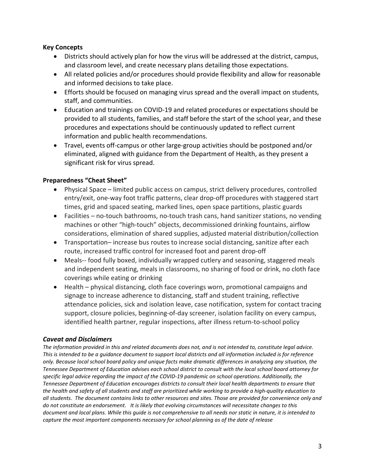#### **Key Concepts**

- • Districts should actively plan for how the virus will be addressed at the district, campus, and classroom level, and create necessary plans detailing those expectations.
- and informed decisions to take place. • All related policies and/or procedures should provide flexibility and allow for reasonable
- Efforts should be focused on managing virus spread and the overall impact on students, staff, and communities.
- provided to all students, families, and staff before the start of the school year, and these • Education and trainings on COVID-19 and related procedures or expectations should be procedures and expectations should be continuously updated to reflect current information and public health recommendations.
- eliminated, aligned with guidance from the Department of Health, as they present a • Travel, events off-campus or other large-group activities should be postponed and/or significant risk for virus spread.

#### **Preparedness "Cheat Sheet"**

- • Physical Space limited public access on campus, strict delivery procedures, controlled entry/exit, one-way foot traffic patterns, clear drop-off procedures with staggered start times, grid and spaced seating, marked lines, open space partitions, plastic guards
- machines or other "high-touch" objects, decommissioned drinking fountains, airflow considerations, elimination of shared supplies, adjusted material distribution/collection • Facilities – no-touch bathrooms, no-touch trash cans, hand sanitizer stations, no vending
- • Transportation– increase bus routes to increase social distancing, sanitize after each route, increased traffic control for increased foot and parent drop-off
- • Meals-- food fully boxed, individually wrapped cutlery and seasoning, staggered meals and independent seating, meals in classrooms, no sharing of food or drink, no cloth face coverings while eating or drinking
- signage to increase adherence to distancing, staff and student training, reflective • Health – physical distancing, cloth face coverings worn, promotional campaigns and attendance policies, sick and isolation leave, case notification, system for contact tracing support, closure policies, beginning-of-day screener, isolation facility on every campus, identified health partner, regular inspections, after illness return-to-school policy

#### *Caveat and Disclaimers*

 *all students. The document contains links to other resources and sites. Those are provided for convenience only and do not constitute an endorsement. It is likely that evolving circumstances will necessitate changes to this The information provided in this and related documents does not, and is not intended to, constitute legal advice. This is intended to be a guidance document to support local districts and all information included is for reference only. Because local school board policy and unique facts make dramatic differences in analyzing any situation, the Tennessee Department of Education advises each school district to consult with the local school board attorney for specific legal advice regarding the impact of the COVID-19 pandemic on school operations. Additionally, the Tennessee Department of Education encourages districts to consult their local health departments to ensure that the health and safety of all students and staff are prioritized while working to provide a high-quality education to document and local plans. While this guide is not comprehensive to all needs nor static in nature, it is intended to capture the most important components necessary for school planning as of the date of release*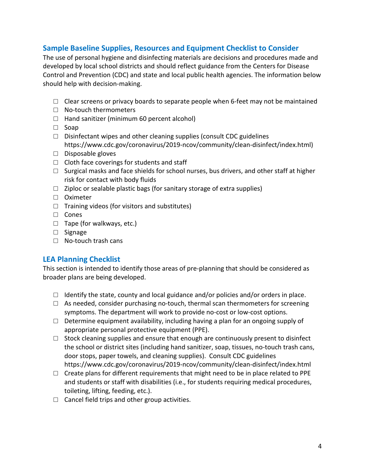# **Sample Baseline Supplies, Resources and Equipment Checklist to Consider**

 The use of personal hygiene and disinfecting materials are decisions and procedures made and developed by local school districts and should reflect guidance from the Centers for Disease Control and Prevention (CDC) and state and local public health agencies. The information below should help with decision-making.

- $\Box$  Clear screens or privacy boards to separate people when 6-feet may not be maintained
- □ No-touch thermometers
- $\Box$  Hand sanitizer (minimum 60 percent alcohol)
- □ Soap
- $\Box$  Disinfectant wipes and other cleaning supplies (consult CDC guidelines [https://www.cdc.gov/coronavirus/2019-ncov/community/clean-disinfect/index.html\)](https://www.cdc.gov/coronavirus/2019-ncov/community/clean-disinfect/index.html)
- □ Disposable gloves
- $\Box$  Cloth face coverings for students and staff
- $\square$  Surgical masks and face shields for school nurses, bus drivers, and other staff at higher risk for contact with body fluids
- $\Box$  Ziploc or sealable plastic bags (for sanitary storage of extra supplies)
- □ Oximeter
- $\Box$  Training videos (for visitors and substitutes)
- □ Cones
- □ Tape (for walkways, etc.)
- □ Signage
- □ No-touch trash cans

# **LEA Planning Checklist**

This section is intended to identify those areas of pre-planning that should be considered as broader plans are being developed.

- $\Box$  Identify the state, county and local guidance and/or policies and/or orders in place.
- $\Box$  As needed, consider purchasing no-touch, thermal scan thermometers for screening symptoms. The department will work to provide no-cost or low-cost options.
- $\square$  Determine equipment availability, including having a plan for an ongoing supply of appropriate personal protective equipment (PPE).
- door stops, paper towels, and cleaning supplies). Consult CDC guidelines  $\Box$  Stock cleaning supplies and ensure that enough are continuously present to disinfect the school or district sites (including hand sanitizer, soap, tissues, no-touch trash cans, <https://www.cdc.gov/coronavirus/2019-ncov/community/clean-disinfect/index.html>
- and students or staff with disabilities (i.e., for students requiring medical procedures,  $\Box$  Create plans for different requirements that might need to be in place related to PPE toileting, lifting, feeding, etc.).
- $\Box$  Cancel field trips and other group activities.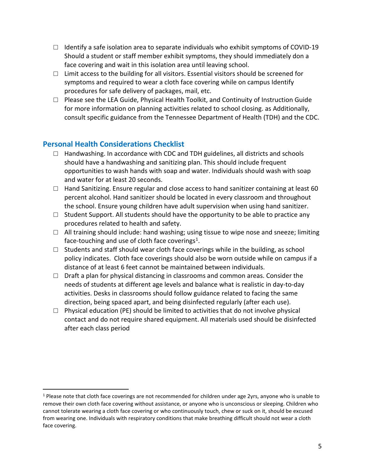- $\Box$  Identify a safe isolation area to separate individuals who exhibit symptoms of COVID-19 Should a student or staff member exhibit symptoms, they should immediately don a face covering and wait in this isolation area until leaving school.
- $\Box$  Limit access to the building for all visitors. Essential visitors should be screened for symptoms and required to wear a cloth face covering while on campus Identify procedures for safe delivery of packages, mail, etc.
- consult specific guidance from the Tennessee Department of Health (TDH) and the CDC. □ Please see the LEA Guide, Physical Health Toolkit, and Continuity of Instruction Guide for more information on planning activities related to school closing. as Additionally,

# **Personal Health Considerations Checklist**

 $\overline{a}$ 

- $\Box$  Handwashing. In accordance with CDC and TDH guidelines, all districts and schools and water for at least 20 seconds. should have a handwashing and sanitizing plan. This should include frequent opportunities to wash hands with soap and water. Individuals should wash with soap
- $\Box$  Hand Sanitizing. Ensure regular and close access to hand sanitizer containing at least 60 percent alcohol. Hand sanitizer should be located in every classroom and throughout the school. Ensure young children have adult supervision when using hand sanitizer.
- $\square$  Student Support. All students should have the opportunity to be able to practice any procedures related to health and safety.
- □ All training should include: hand washing; using tissue to wipe nose and sneeze; limiting face-touching and use of cloth face coverings<sup>[1](#page-4-0)</sup>.
- $\square$  Students and staff should wear cloth face coverings while in the building, as school policy indicates. Cloth face coverings should also be worn outside while on campus if a distance of at least 6 feet cannot be maintained between individuals.
- activities. Desks in classrooms should follow guidance related to facing the same  $\Box$  Draft a plan for physical distancing in classrooms and common areas. Consider the needs of students at different age levels and balance what is realistic in day-to-day direction, being spaced apart, and being disinfected regularly (after each use).
- $\Box$  Physical education (PE) should be limited to activities that do not involve physical contact and do not require shared equipment. All materials used should be disinfected after each class period

<span id="page-4-0"></span><sup>&</sup>lt;sup>1</sup> Please note that cloth face coverings are not recommended for children under age 2yrs, anyone who is unable to remove their own cloth face covering without assistance, or anyone who is unconscious or sleeping. Children who cannot tolerate wearing a cloth face covering or who continuously touch, chew or suck on it, should be excused from wearing one. Individuals with respiratory conditions that make breathing difficult should not wear a cloth face covering.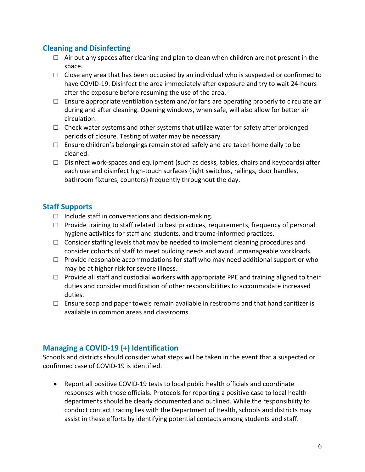# **Cleaning and Disinfecting**

- $\Box$  Air out any spaces after cleaning and plan to clean when children are not present in the space.
- have COVID-19. Disinfect the area immediately after exposure and try to wait 24-hours after the exposure before resuming the use of the area.  $\Box$  Close any area that has been occupied by an individual who is suspected or confirmed to
- $\square$  Ensure appropriate ventilation system and/or fans are operating properly to circulate air during and after cleaning. Opening windows, when safe, will also allow for better air circulation.
- $\square$  Check water systems and other systems that utilize water for safety after prolonged periods of closure. Testing of water may be necessary.
- $\square$  Ensure children's belongings remain stored safely and are taken home daily to be cleaned.
- $\Box$  Disinfect work-spaces and equipment (such as desks, tables, chairs and keyboards) after each use and disinfect high-touch surfaces (light switches, railings, door handles, bathroom fixtures, counters) frequently throughout the day.

# **Staff Supports**

- $\Box$  Include staff in conversations and decision-making.
- □ Provide training to staff related to best practices, requirements, frequency of personal hygiene activities for staff and students, and trauma-informed practices.
- $\Box$  Consider staffing levels that may be needed to implement cleaning procedures and consider cohorts of staff to meet building needs and avoid unmanageable workloads.
- may be at higher risk for severe illness.  $\Box$  Provide reasonable accommodations for staff who may need additional support or who
- $\Box$  Provide all staff and custodial workers with appropriate PPE and training aligned to their duties and consider modification of other responsibilities to accommodate increased duties.
- $\square$  Ensure soap and paper towels remain available in restrooms and that hand sanitizer is available in common areas and classrooms.

# **Managing a COVID-19 (+) Identification**

Schools and districts should consider what steps will be taken in the event that a suspected or confirmed case of COVID-19 is identified.

 conduct contact tracing lies with the Department of Health, schools and districts may assist in these efforts by identifying potential contacts among students and staff. • Report all positive COVID-19 tests to local public health officials and coordinate responses with those officials. Protocols for reporting a positive case to local health departments should be clearly documented and outlined. While the responsibility to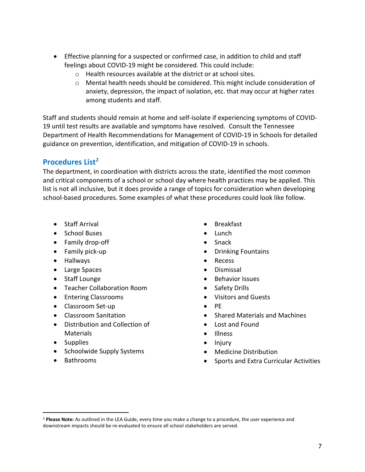- • Effective planning for a suspected or confirmed case, in addition to child and staff feelings about COVID-19 might be considered. This could include:
	- o Health resources available at the district or at school sites.
	- o Mental health needs should be considered. This might include consideration of anxiety, depression, the impact of isolation, etc. that may occur at higher rates among students and staff.

Staff and students should remain at home and self-isolate if experiencing symptoms of COVID-19 until test results are available and symptoms have resolved. Consult the Tennessee Department of Health Recommendations for Management of COVID-19 in Schools for detailed guidance on prevention, identification, and mitigation of COVID-19 in schools.

# **Procedures List[2](#page-6-0)**

 and critical components of a school or school day where health practices may be applied. This list is not all inclusive, but it does provide a range of topics for consideration when developing The department, in coordination with districts across the state, identified the most common school-based procedures. Some examples of what these procedures could look like follow.

- Staff Arrival
- School Buses
- Family drop-off
- Family pick-up
- Hallways
- Large Spaces
- Staff Lounge
- Teacher Collaboration Room
- Entering Classrooms
- Classroom Set-up
- Classroom Sanitation
- Distribution and Collection of Materials
- Supplies
- Schoolwide Supply Systems
- Bathrooms

 $\overline{a}$ 

- Breakfast
- Lunch
- Snack
- Drinking Fountains
- Recess
- Dismissal
- Behavior Issues
- Safety Drills
- Visitors and Guests
- PE
- Shared Materials and Machines
- Lost and Found
- Illness
- Injury
- Medicine Distribution
- Sports and Extra Curricular Activities

<span id="page-6-0"></span> downstream impacts should be re-evaluated to ensure all school stakeholders are served. <sup>2</sup>**Please Note:** As outlined in the LEA Guide, every time you make a change to a procedure, the user experience and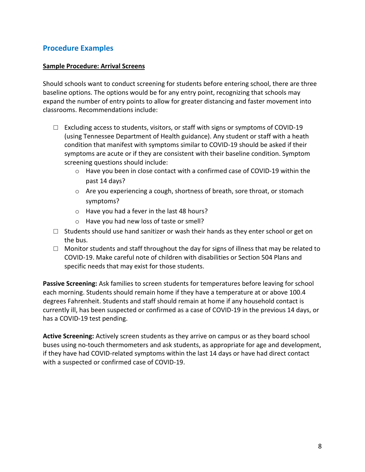### **Procedure Examples**

#### **Sample Procedure: Arrival Screens**

 Should schools want to conduct screening for students before entering school, there are three baseline options. The options would be for any entry point, recognizing that schools may expand the number of entry points to allow for greater distancing and faster movement into classrooms. Recommendations include:

- $\square$  Excluding access to students, visitors, or staff with signs or symptoms of COVID-19 (using Tennessee Department of Health guidance). Any student or staff with a heath condition that manifest with symptoms similar to COVID-19 should be asked if their symptoms are acute or if they are consistent with their baseline condition. Symptom screening questions should include:
	- o Have you been in close contact with a confirmed case of COVID-19 within the past 14 days?
	- $\circ$  Are you experiencing a cough, shortness of breath, sore throat, or stomach symptoms?
	- o Have you had a fever in the last 48 hours?
	- o Have you had new loss of taste or smell?
- $\square$  Students should use hand sanitizer or wash their hands as they enter school or get on the bus.
- specific needs that may exist for those students.  $\Box$  Monitor students and staff throughout the day for signs of illness that may be related to COVID-19. Make careful note of children with disabilities or Section 504 Plans and

 currently ill, has been suspected or confirmed as a case of COVID-19 in the previous 14 days, or **Passive Screening:** Ask families to screen students for temperatures before leaving for school each morning. Students should remain home if they have a temperature at or above 100.4 degrees Fahrenheit. Students and staff should remain at home if any household contact is has a COVID-19 test pending.

 **Active Screening:** Actively screen students as they arrive on campus or as they board school buses using no-touch thermometers and ask students, as appropriate for age and development, if they have had COVID-related symptoms within the last 14 days or have had direct contact with a suspected or confirmed case of COVID-19.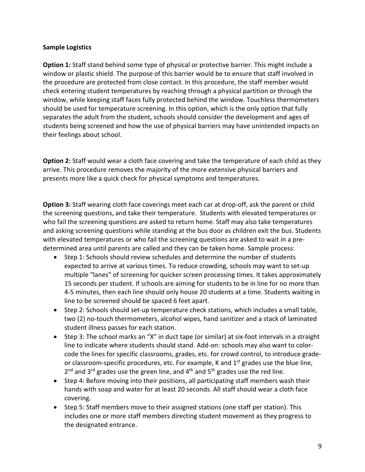#### **Sample Logistics**

 check entering student temperatures by reaching through a physical partition or through the students being screened and how the use of physical barriers may have unintended impacts on **Option 1:** Staff stand behind some type of physical or protective barrier. This might include a window or plastic shield. The purpose of this barrier would be to ensure that staff involved in the procedure are protected from close contact. In this procedure, the staff member would window, while keeping staff faces fully protected behind the window. Touchless thermometers should be used for temperature screening. In this option, which is the only option that fully separates the adult from the student, schools should consider the development and ages of their feelings about school.

**Option 2:** Staff would wear a cloth face covering and take the temperature of each child as they arrive. This procedure removes the majority of the more extensive physical barriers and presents more like a quick check for physical symptoms and temperatures.

 **Option 3:** Staff wearing cloth face coverings meet each car at drop-off, ask the parent or child the screening questions, and take their temperature. Students with elevated temperatures or and asking screening questions while standing at the bus door as children exit the bus. Students with elevated temperatures or who fail the screening questions are asked to wait in a pre- determined area until parents are called and they can be taken home. Sample process: who fail the screening questions are asked to return home. Staff may also take temperatures

- 15 seconds per student. If schools are aiming for students to be in line for no more than line to be screened should be spaced 6 feet apart. • Step 1: Schools should review schedules and determine the number of students expected to arrive at various times. To reduce crowding, schools may want to set-up multiple "lanes" of screening for quicker screen processing times. It takes approximately 4-5 minutes, then each line should only house 20 students at a time. Students waiting in
- • Step 2: Schools should set-up temperature check stations, which includes a small table, two (2) no-touch thermometers, alcohol wipes, hand sanitizer and a stack of laminated student illness passes for each station.
- line to indicate where students should stand. Add-on: schools may also want to color- $2^{nd}$  and 3<sup>rd</sup> grades use the green line, and 4<sup>th</sup> and 5<sup>th</sup> grades use the red line. • Step 3: The school marks an "X" in duct tape (or similar) at six-foot intervals in a straight code the lines for specific classrooms, grades, etc. for crowd control, to introduce gradeor classroom-specific procedures, etc. For example, K and  $1<sup>st</sup>$  grades use the blue line,
- Step 4: Before moving into their positions, all participating staff members wash their hands with soap and water for at least 20 seconds. All staff should wear a cloth face covering.
- includes one or more staff members directing student movement as they progress to • Step 5: Staff members move to their assigned stations (one staff per station). This the designated entrance.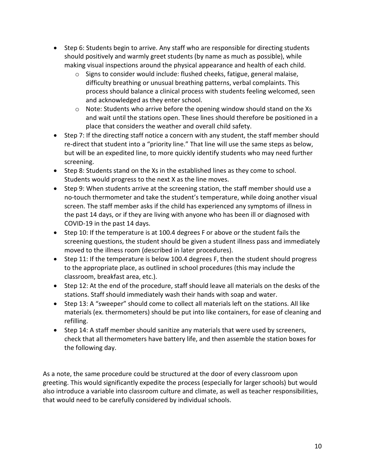- making visual inspections around the physical appearance and health of each child. • Step 6: Students begin to arrive. Any staff who are responsible for directing students should positively and warmly greet students (by name as much as possible), while
	- difficulty breathing or unusual breathing patterns, verbal complaints. This process should balance a clinical process with students feeling welcomed, seen  $\circ$  Signs to consider would include: flushed cheeks, fatigue, general malaise, and acknowledged as they enter school.
	- place that considers the weather and overall child safety.  $\circ$  Note: Students who arrive before the opening window should stand on the Xs and wait until the stations open. These lines should therefore be positioned in a
- re-direct that student into a "priority line." That line will use the same steps as below, but will be an expedited line, to more quickly identify students who may need further • Step 7: If the directing staff notice a concern with any student, the staff member should screening.
- • Step 8: Students stand on the Xs in the established lines as they come to school. Students would progress to the next X as the line moves.
- COVID-19 in the past 14 days. • Step 9: When students arrive at the screening station, the staff member should use a no-touch thermometer and take the student's temperature, while doing another visual screen. The staff member asks if the child has experienced any symptoms of illness in the past 14 days, or if they are living with anyone who has been ill or diagnosed with
- • Step 10: If the temperature is at 100.4 degrees F or above or the student fails the screening questions, the student should be given a student illness pass and immediately moved to the illness room (described in later procedures).
- Step 11: If the temperature is below 100.4 degrees F, then the student should progress to the appropriate place, as outlined in school procedures (this may include the classroom, breakfast area, etc.).
- Step 12: At the end of the procedure, staff should leave all materials on the desks of the stations. Staff should immediately wash their hands with soap and water.
- Step 13: A "sweeper" should come to collect all materials left on the stations. All like materials (ex. thermometers) should be put into like containers, for ease of cleaning and refilling.
- • Step 14: A staff member should sanitize any materials that were used by screeners, check that all thermometers have battery life, and then assemble the station boxes for the following day.

As a note, the same procedure could be structured at the door of every classroom upon greeting. This would significantly expedite the process (especially for larger schools) but would also introduce a variable into classroom culture and climate, as well as teacher responsibilities, that would need to be carefully considered by individual schools.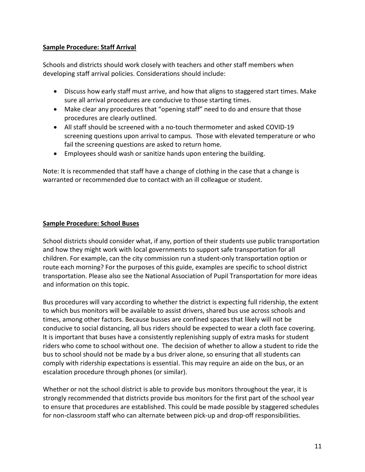#### **Sample Procedure: Staff Arrival**

Schools and districts should work closely with teachers and other staff members when developing staff arrival policies. Considerations should include:

- • Discuss how early staff must arrive, and how that aligns to staggered start times. Make sure all arrival procedures are conducive to those starting times.
- Make clear any procedures that "opening staff" need to do and ensure that those procedures are clearly outlined.
- screening questions upon arrival to campus. Those with elevated temperature or who • All staff should be screened with a no-touch thermometer and asked COVID-19 fail the screening questions are asked to return home.
- Employees should wash or sanitize hands upon entering the building.

Note: It is recommended that staff have a change of clothing in the case that a change is warranted or recommended due to contact with an ill colleague or student.

#### **Sample Procedure: School Buses**

 children. For example, can the city commission run a student-only transportation option or School districts should consider what, if any, portion of their students use public transportation and how they might work with local governments to support safe transportation for all route each morning? For the purposes of this guide, examples are specific to school district transportation. Please also see the National Association of Pupil Transportation for more ideas and information on this topic.

 Bus procedures will vary according to whether the district is expecting full ridership, the extent to which bus monitors will be available to assist drivers, shared bus use across schools and conducive to social distancing, all bus riders should be expected to wear a cloth face covering. conducive to social distancing, all bus riders should be expected to wear a cloth face covering.<br>It is important that buses have a consistently replenishing supply of extra masks for student riders who come to school without one. The decision of whether to allow a student to ride the bus to school should not be made by a bus driver alone, so ensuring that all students can comply with ridership expectations is essential. This may require an aide on the bus, or an times, among other factors. Because busses are confined spaces that likely will not be escalation procedure through phones (or similar).

 Whether or not the school district is able to provide bus monitors throughout the year, it is strongly recommended that districts provide bus monitors for the first part of the school year to ensure that procedures are established. This could be made possible by staggered schedules for non-classroom staff who can alternate between pick-up and drop-off responsibilities.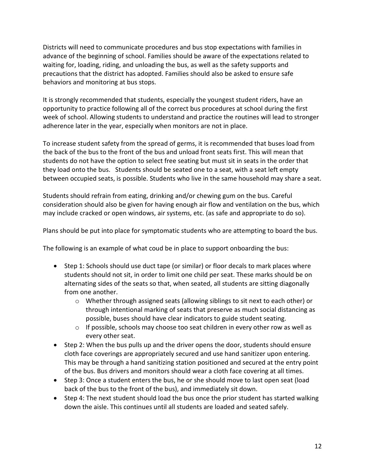Districts will need to communicate procedures and bus stop expectations with families in advance of the beginning of school. Families should be aware of the expectations related to waiting for, loading, riding, and unloading the bus, as well as the safety supports and precautions that the district has adopted. Families should also be asked to ensure safe behaviors and monitoring at bus stops.

 It is strongly recommended that students, especially the youngest student riders, have an opportunity to practice following all of the correct bus procedures at school during the first week of school. Allowing students to understand and practice the routines will lead to stronger adherence later in the year, especially when monitors are not in place.

 students do not have the option to select free seating but must sit in seats in the order that they load onto the bus. Students should be seated one to a seat, with a seat left empty To increase student safety from the spread of germs, it is recommended that buses load from the back of the bus to the front of the bus and unload front seats first. This will mean that between occupied seats, is possible. Students who live in the same household may share a seat.

 Students should refrain from eating, drinking and/or chewing gum on the bus. Careful consideration should also be given for having enough air flow and ventilation on the bus, which may include cracked or open windows, air systems, etc. (as safe and appropriate to do so).

Plans should be put into place for symptomatic students who are attempting to board the bus.

The following is an example of what coud be in place to support onboarding the bus:

- alternating sides of the seats so that, when seated, all students are sitting diagonally from one another. • Step 1: Schools should use duct tape (or similar) or floor decals to mark places where students should not sit, in order to limit one child per seat. These marks should be on
	- $\circ$  Whether through assigned seats (allowing siblings to sit next to each other) or through intentional marking of seats that preserve as much social distancing as possible, buses should have clear indicators to guide student seating.
	- $\circ$  If possible, schools may choose too seat children in every other row as well as every other seat.
- This may be through a hand sanitizing station positioned and secured at the entry point • Step 2: When the bus pulls up and the driver opens the door, students should ensure cloth face coverings are appropriately secured and use hand sanitizer upon entering. of the bus. Bus drivers and monitors should wear a cloth face covering at all times.
- back of the bus to the front of the bus), and immediately sit down. • Step 3: Once a student enters the bus, he or she should move to last open seat (load
- Step 4: The next student should load the bus once the prior student has started walking down the aisle. This continues until all students are loaded and seated safely.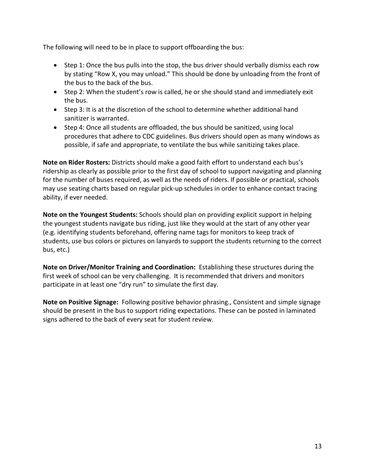The following will need to be in place to support offboarding the bus:

- Step 1: Once the bus pulls into the stop, the bus driver should verbally dismiss each row by stating "Row X, you may unload." This should be done by unloading from the front of the bus to the back of the bus.
- Step 2: When the student's row is called, he or she should stand and immediately exit the bus.
- Step 3: It is at the discretion of the school to determine whether additional hand sanitizer is warranted.
- • Step 4: Once all students are offloaded, the bus should be sanitized, using local procedures that adhere to CDC guidelines. Bus drivers should open as many windows as possible, if safe and appropriate, to ventilate the bus while sanitizing takes place.

 for the number of buses required, as well as the needs of riders. If possible or practical, schools **Note on Rider Rosters:** Districts should make a good faith effort to understand each bus's ridership as clearly as possible prior to the first day of school to support navigating and planning may use seating charts based on regular pick-up schedules in order to enhance contact tracing ability, if ever needed.

 the youngest students navigate bus riding, just like they would at the start of any other year **Note on the Youngest Students:** Schools should plan on providing explicit support in helping (e.g. identifying students beforehand, offering name tags for monitors to keep track of students, use bus colors or pictures on lanyards to support the students returning to the correct bus, etc.)

 **Note on Driver/Monitor Training and Coordination:** Establishing these structures during the participate in at least one "dry run" to simulate the first day. first week of school can be very challenging. It is recommended that drivers and monitors

 **Note on Positive Signage:** Following positive behavior phrasing., Consistent and simple signage should be present in the bus to support riding expectations. These can be posted in laminated signs adhered to the back of every seat for student review.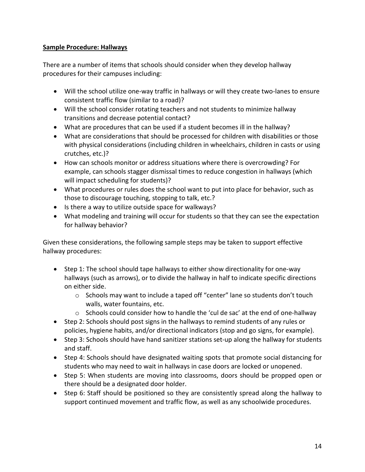#### **Sample Procedure: Hallways**

 There are a number of items that schools should consider when they develop hallway procedures for their campuses including:

- consistent traffic flow (similar to a road)? • Will the school utilize one-way traffic in hallways or will they create two-lanes to ensure
- • Will the school consider rotating teachers and not students to minimize hallway transitions and decrease potential contact?
- What are procedures that can be used if a student becomes ill in the hallway?
- What are considerations that should be processed for children with disabilities or those with physical considerations (including children in wheelchairs, children in casts or using crutches, etc.)?
- How can schools monitor or address situations where there is overcrowding? For example, can schools stagger dismissal times to reduce congestion in hallways (which will impact scheduling for students)?
- • What procedures or rules does the school want to put into place for behavior, such as those to discourage touching, stopping to talk, etc.?
- Is there a way to utilize outside space for walkways?
- What modeling and training will occur for students so that they can see the expectation for hallway behavior?

Given these considerations, the following sample steps may be taken to support effective hallway procedures:

- hallways (such as arrows), or to divide the hallway in half to indicate specific directions • Step 1: The school should tape hallways to either show directionality for one-way on either side.
	- $\circ$  Schools may want to include a taped off "center" lane so students don't touch walls, water fountains, etc.
	- $\circ$  Schools could consider how to handle the 'cul de sac' at the end of one-hallway
- Step 2: Schools should post signs in the hallways to remind students of any rules or policies, hygiene habits, and/or directional indicators (stop and go signs, for example).
- Step 3: Schools should have hand sanitizer stations set-up along the hallway for students and staff.
- students who may need to wait in hallways in case doors are locked or unopened. • Step 4: Schools should have designated waiting spots that promote social distancing for
- there should be a designated door holder. • Step 5: When students are moving into classrooms, doors should be propped open or
- Step 6: Staff should be positioned so they are consistently spread along the hallway to support continued movement and traffic flow, as well as any schoolwide procedures.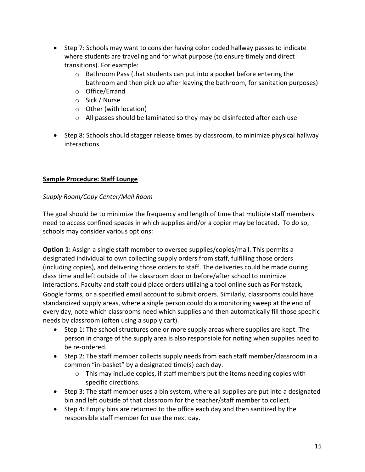- • Step 7: Schools may want to consider having color coded hallway passes to indicate where students are traveling and for what purpose (to ensure timely and direct transitions). For example:
	- $\circ$  Bathroom Pass (that students can put into a pocket before entering the bathroom and then pick up after leaving the bathroom, for sanitation purposes)
	- o Office/Errand
	- o Sick / Nurse
	- o Other (with location)
	- $\circ$  All passes should be laminated so they may be disinfected after each use
- Step 8: Schools should stagger release times by classroom, to minimize physical hallway interactions

#### **Sample Procedure: Staff Lounge**

#### *Supply Room/Copy Center/Mail Room*

 The goal should be to minimize the frequency and length of time that multiple staff members need to access confined spaces in which supplies and/or a copier may be located. To do so, schools may consider various options:

 designated individual to own collecting supply orders from staff, fulfilling those orders (including copies), and delivering those orders to staff. The deliveries could be made during interactions. Faculty and staff could place orders utilizing a tool online such as Formstack, Google forms, or a specified email account to submit orders. Similarly, classrooms could have standardized supply areas, where a single person could do a monitoring sweep at the end of **Option 1:** Assign a single staff member to oversee supplies/copies/mail. This permits a class time and left outside of the classroom door or before/after school to minimize every day, note which classrooms need which supplies and then automatically fill those specific needs by classroom (often using a supply cart).

- • Step 1: The school structures one or more supply areas where supplies are kept. The person in charge of the supply area is also responsible for noting when supplies need to be re-ordered.
- Step 2: The staff member collects supply needs from each staff member/classroom in a common "in-basket" by a designated time(s) each day.
	- $\circ$  This may include copies, if staff members put the items needing copies with specific directions.
- • Step 3: The staff member uses a bin system, where all supplies are put into a designated bin and left outside of that classroom for the teacher/staff member to collect.
- responsible staff member for use the next day. • Step 4: Empty bins are returned to the office each day and then sanitized by the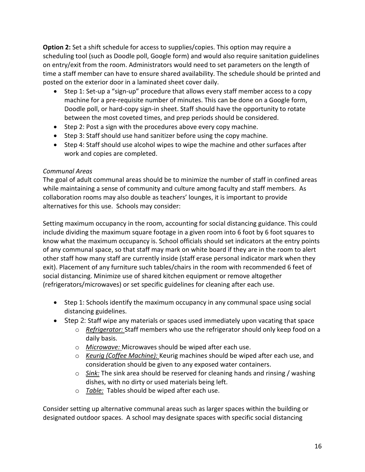**Option 2:** Set a shift schedule for access to supplies/copies. This option may require a scheduling tool (such as Doodle poll, Google form) and would also require sanitation guidelines on entry/exit from the room. Administrators would need to set parameters on the length of time a staff member can have to ensure shared availability. The schedule should be printed and posted on the exterior door in a laminated sheet cover daily.

- • Step 1: Set-up a "sign-up" procedure that allows every staff member access to a copy machine for a pre-requisite number of minutes. This can be done on a Google form, Doodle poll, or hard-copy sign-in sheet. Staff should have the opportunity to rotate between the most coveted times, and prep periods should be considered.
- Step 2: Post a sign with the procedures above every copy machine.
- Step 3: Staff should use hand sanitizer before using the copy machine.
- Step 4: Staff should use alcohol wipes to wipe the machine and other surfaces after work and copies are completed.

#### *Communal Areas*

 while maintaining a sense of community and culture among faculty and staff members. As alternatives for this use. Schools may consider: The goal of adult communal areas should be to minimize the number of staff in confined areas collaboration rooms may also double as teachers' lounges, it is important to provide

 include dividing the maximum square footage in a given room into 6 foot by 6 foot squares to (refrigerators/microwaves) or set specific guidelines for cleaning after each use. Setting maximum occupancy in the room, accounting for social distancing guidance. This could know what the maximum occupancy is. School officials should set indicators at the entry points of any communal space, so that staff may mark on white board if they are in the room to alert other staff how many staff are currently inside (staff erase personal indicator mark when they exit). Placement of any furniture such tables/chairs in the room with recommended 6 feet of social distancing. Minimize use of shared kitchen equipment or remove altogether

- • Step 1: Schools identify the maximum occupancy in any communal space using social distancing guidelines.
- Step 2: Staff wipe any materials or spaces used immediately upon vacating that space
	- o *Refrigerator:* Staff members who use the refrigerator should only keep food on a daily basis.
	- o *Microwave:* Microwaves should be wiped after each use.
	- o *Keurig (Coffee Machine):* Keurig machines should be wiped after each use, and consideration should be given to any exposed water containers.
	- dishes, with no dirty or used materials being left. o *Sink:* The sink area should be reserved for cleaning hands and rinsing / washing
	- o *Table:* Tables should be wiped after each use.

 Consider setting up alternative communal areas such as larger spaces within the building or designated outdoor spaces. A school may designate spaces with specific social distancing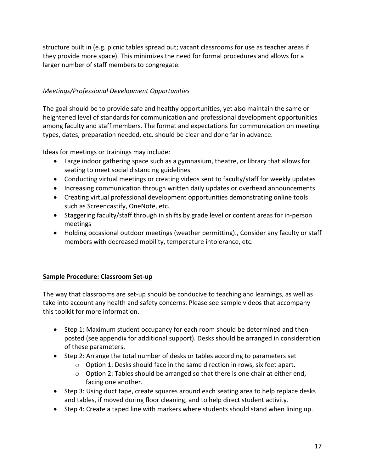structure built in (e.g. picnic tables spread out; vacant classrooms for use as teacher areas if they provide more space). This minimizes the need for formal procedures and allows for a larger number of staff members to congregate.

#### *Meetings/Professional Development Opportunities*

 among faculty and staff members. The format and expectations for communication on meeting The goal should be to provide safe and healthy opportunities, yet also maintain the same or heightened level of standards for communication and professional development opportunities types, dates, preparation needed, etc. should be clear and done far in advance.

Ideas for meetings or trainings may include:

- Large indoor gathering space such as a gymnasium, theatre, or library that allows for seating to meet social distancing guidelines
- Conducting virtual meetings or creating videos sent to faculty/staff for weekly updates
- Increasing communication through written daily updates or overhead announcements
- • Creating virtual professional development opportunities demonstrating online tools such as Screencastify, OneNote, etc.
- • Staggering faculty/staff through in shifts by grade level or content areas for in-person meetings
- Holding occasional outdoor meetings (weather permitting)., Consider any faculty or staff members with decreased mobility, temperature intolerance, etc.

#### **Sample Procedure: Classroom Set-up**

The way that classrooms are set-up should be conducive to teaching and learnings, as well as take into account any health and safety concerns. Please see sample videos that accompany this toolkit for more information.

- of these parameters. • Step 1: Maximum student occupancy for each room should be determined and then posted (see appendix for additional support). Desks should be arranged in consideration
- Step 2: Arrange the total number of desks or tables according to parameters set
	- o Option 1: Desks should face in the same direction in rows, six feet apart.
	- o Option 2: Tables should be arranged so that there is one chair at either end, facing one another.
- • Step 3: Using duct tape, create squares around each seating area to help replace desks and tables, if moved during floor cleaning, and to help direct student activity.
- Step 4: Create a taped line with markers where students should stand when lining up.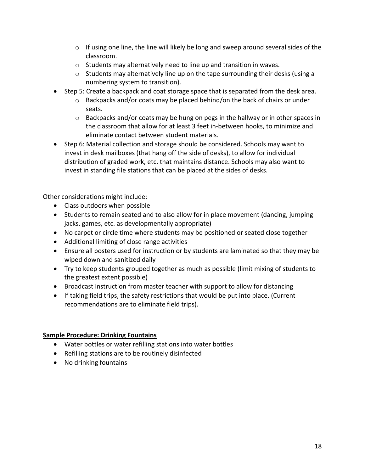- $\circ$  If using one line, the line will likely be long and sweep around several sides of the classroom.
- o Students may alternatively need to line up and transition in waves.
- $\circ$  Students may alternatively line up on the tape surrounding their desks (using a numbering system to transition).
- • Step 5: Create a backpack and coat storage space that is separated from the desk area.
	- $\circ$  Backpacks and/or coats may be placed behind/on the back of chairs or under seats.
	- $\circ$  Backpacks and/or coats may be hung on pegs in the hallway or in other spaces in the classroom that allow for at least 3 feet in-between hooks, to minimize and eliminate contact between student materials.
- • Step 6: Material collection and storage should be considered. Schools may want to distribution of graded work, etc. that maintains distance. Schools may also want to invest in standing file stations that can be placed at the sides of desks. invest in desk mailboxes (that hang off the side of desks), to allow for individual

Other considerations might include:

- Class outdoors when possible
- Students to remain seated and to also allow for in place movement (dancing, jumping jacks, games, etc. as developmentally appropriate)
- No carpet or circle time where students may be positioned or seated close together
- Additional limiting of close range activities
- Ensure all posters used for instruction or by students are laminated so that they may be wiped down and sanitized daily
- Try to keep students grouped together as much as possible (limit mixing of students to the greatest extent possible)
- Broadcast instruction from master teacher with support to allow for distancing
- recommendations are to eliminate field trips). • If taking field trips, the safety restrictions that would be put into place. (Current

#### **Sample Procedure: Drinking Fountains**

- Water bottles or water refilling stations into water bottles
- Refilling stations are to be routinely disinfected
- No drinking fountains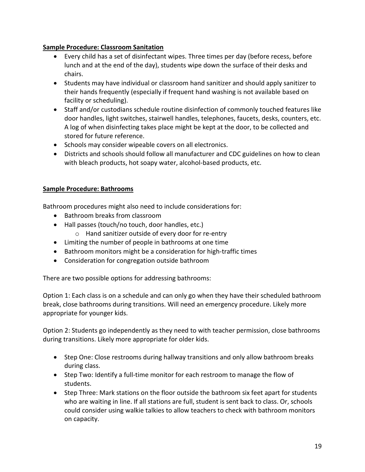#### **Sample Procedure: Classroom Sanitation**

- • Every child has a set of disinfectant wipes. Three times per day (before recess, before lunch and at the end of the day), students wipe down the surface of their desks and chairs.
- Students may have individual or classroom hand sanitizer and should apply sanitizer to their hands frequently (especially if frequent hand washing is not available based on facility or scheduling).
- Staff and/or custodians schedule routine disinfection of commonly touched features like door handles, light switches, stairwell handles, telephones, faucets, desks, counters, etc. A log of when disinfecting takes place might be kept at the door, to be collected and stored for future reference.
- Schools may consider wipeable covers on all electronics.
- Districts and schools should follow all manufacturer and CDC guidelines on how to clean with bleach products, hot soapy water, alcohol-based products, etc.

#### **Sample Procedure: Bathrooms**

Bathroom procedures might also need to include considerations for:

- Bathroom breaks from classroom
- Hall passes (touch/no touch, door handles, etc.)
	- o Hand sanitizer outside of every door for re-entry
- Limiting the number of people in bathrooms at one time
- Bathroom monitors might be a consideration for high-traffic times
- Consideration for congregation outside bathroom

There are two possible options for addressing bathrooms:

 break, close bathrooms during transitions. Will need an emergency procedure. Likely more Option 1: Each class is on a schedule and can only go when they have their scheduled bathroom appropriate for younger kids.

 Option 2: Students go independently as they need to with teacher permission, close bathrooms during transitions. Likely more appropriate for older kids.

- Step One: Close restrooms during hallway transitions and only allow bathroom breaks during class.
- Step Two: Identify a full-time monitor for each restroom to manage the flow of students.
- who are waiting in line. If all stations are full, student is sent back to class. Or, schools • Step Three: Mark stations on the floor outside the bathroom six feet apart for students could consider using walkie talkies to allow teachers to check with bathroom monitors on capacity.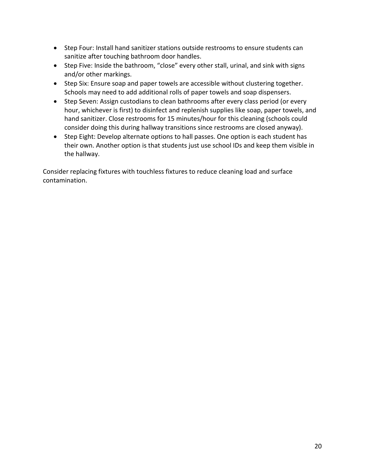- Step Four: Install hand sanitizer stations outside restrooms to ensure students can sanitize after touching bathroom door handles.
- • Step Five: Inside the bathroom, "close" every other stall, urinal, and sink with signs and/or other markings.
- • Step Six: Ensure soap and paper towels are accessible without clustering together. Schools may need to add additional rolls of paper towels and soap dispensers.
- • Step Seven: Assign custodians to clean bathrooms after every class period (or every hour, whichever is first) to disinfect and replenish supplies like soap, paper towels, and hand sanitizer. Close restrooms for 15 minutes/hour for this cleaning (schools could consider doing this during hallway transitions since restrooms are closed anyway).
- • Step Eight: Develop alternate options to hall passes. One option is each student has their own. Another option is that students just use school IDs and keep them visible in the hallway.

 Consider replacing fixtures with touchless fixtures to reduce cleaning load and surface contamination.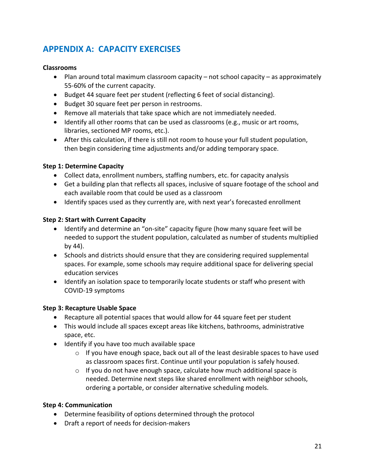# **APPENDIX A: CAPACITY EXERCISES**

#### **Classrooms**

- Plan around total maximum classroom capacity not school capacity as approximately 55-60% of the current capacity.
- Budget 44 square feet per student (reflecting 6 feet of social distancing).
- Budget 30 square feet per person in restrooms.
- Remove all materials that take space which are not immediately needed.
- • Identify all other rooms that can be used as classrooms (e.g., music or art rooms, libraries, sectioned MP rooms, etc.).
- • After this calculation, if there is still not room to house your full student population, then begin considering time adjustments and/or adding temporary space.

#### **Step 1: Determine Capacity**

- Collect data, enrollment numbers, staffing numbers, etc. for capacity analysis
- • Get a building plan that reflects all spaces, inclusive of square footage of the school and each available room that could be used as a classroom
- Identify spaces used as they currently are, with next year's forecasted enrollment

#### **Step 2: Start with Current Capacity**

- • Identify and determine an "on-site" capacity figure (how many square feet will be needed to support the student population, calculated as number of students multiplied by 44).
- • Schools and districts should ensure that they are considering required supplemental spaces. For example, some schools may require additional space for delivering special education services
- Identify an isolation space to temporarily locate students or staff who present with COVID-19 symptoms

#### **Step 3: Recapture Usable Space**

- Recapture all potential spaces that would allow for 44 square feet per student
- This would include all spaces except areas like kitchens, bathrooms, administrative space, etc.
- Identify if you have too much available space
	- $\circ$  If you have enough space, back out all of the least desirable spaces to have used as classroom spaces first. Continue until your population is safely housed.
	- needed. Determine next steps like shared enrollment with neighbor schools, o If you do not have enough space, calculate how much additional space is ordering a portable, or consider alternative scheduling models.

#### **Step 4: Communication**

- Determine feasibility of options determined through the protocol
- Draft a report of needs for decision-makers